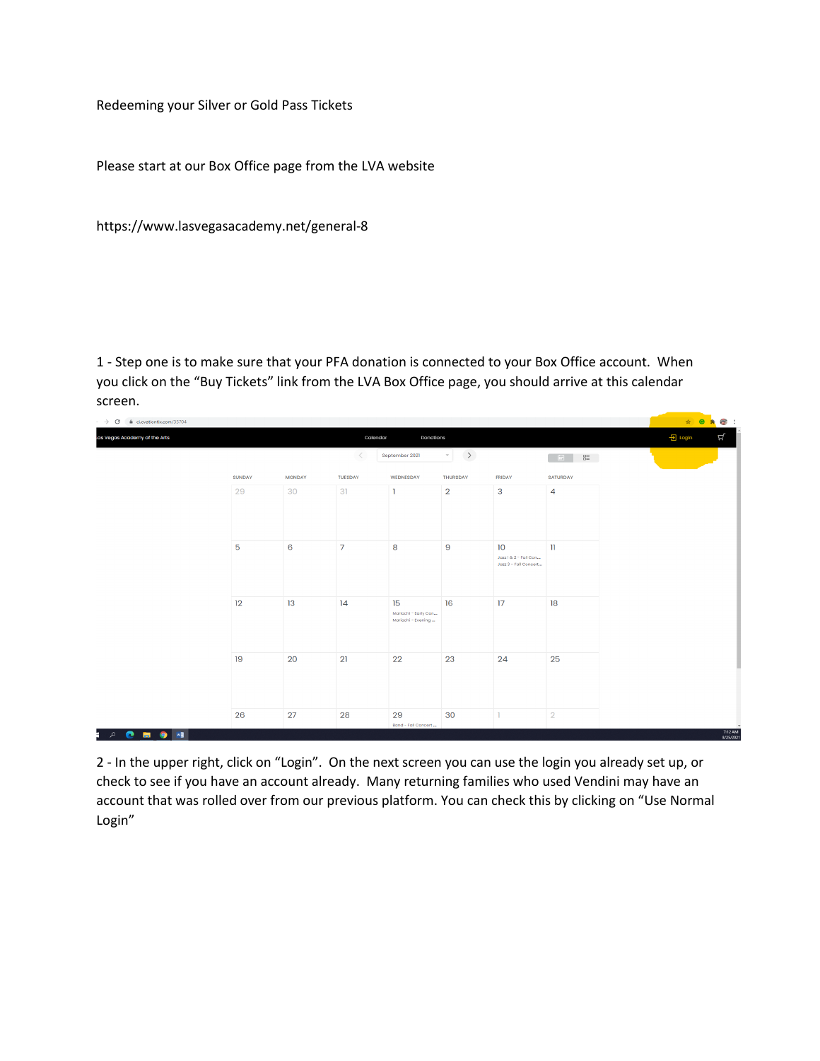Redeeming your Silver or Gold Pass Tickets

Please start at our Box Office page from the LVA website

https://www.lasvegasacademy.net/general-8

1 - Step one is to make sure that your PFA donation is connected to your Box Office account. When you click on the "Buy Tickets" link from the LVA Box Office page, you should arrive at this calendar screen.

| e ci.ovationtix.com/35704<br>$\cdot$ $\rightarrow$ C |                       |               |                |                            |                 |                                          |                 |  |  |  |
|------------------------------------------------------|-----------------------|---------------|----------------|----------------------------|-----------------|------------------------------------------|-----------------|--|--|--|
| as Vegas Academy of the Arts                         | Calendar<br>Donations |               |                |                            |                 |                                          |                 |  |  |  |
|                                                      |                       |               | $\,<$          | September 2021             |                 |                                          |                 |  |  |  |
|                                                      | <b>SUNDAY</b>         | <b>MONDAY</b> | <b>TUESDAY</b> | WEDNESDAY                  | <b>THURSDAY</b> | <b>FRIDAY</b>                            | <b>SATURDAY</b> |  |  |  |
|                                                      | 29                    | 30            | 31             |                            | $\overline{2}$  | $\mathbf{3}$                             | 4               |  |  |  |
|                                                      |                       |               |                |                            |                 |                                          |                 |  |  |  |
|                                                      |                       |               |                |                            |                 |                                          |                 |  |  |  |
|                                                      | $\overline{5}$        | 6             | $\overline{7}$ | 8                          | $\overline{9}$  | 10 <sup>°</sup><br>Jazz 1 & 2 - Fall Con | $\mathbf{u}$    |  |  |  |
|                                                      |                       |               |                |                            |                 | Jozz 3 - Fall Concert                    |                 |  |  |  |
|                                                      |                       |               |                |                            |                 |                                          |                 |  |  |  |
|                                                      | 12                    | 13            | 14             | 15<br>Mariachi - Early Con | 16              | 17                                       | 18              |  |  |  |
|                                                      |                       |               |                | Mariachi - Evening         |                 |                                          |                 |  |  |  |
|                                                      |                       |               |                |                            |                 |                                          |                 |  |  |  |
|                                                      | 19                    | 20            | 21             | 22                         | 23              | 24                                       | 25              |  |  |  |
|                                                      |                       |               |                |                            |                 |                                          |                 |  |  |  |
|                                                      |                       |               |                |                            |                 |                                          |                 |  |  |  |
|                                                      | 26                    | 27            | 28             | 29<br>Band - Fall Concert  | 30              |                                          | $\overline{2}$  |  |  |  |
| <b>POEQWE</b>                                        |                       |               |                |                            |                 |                                          |                 |  |  |  |

2 - In the upper right, click on "Login". On the next screen you can use the login you already set up, or check to see if you have an account already. Many returning families who used Vendini may have an account that was rolled over from our previous platform. You can check this by clicking on "Use Normal Login"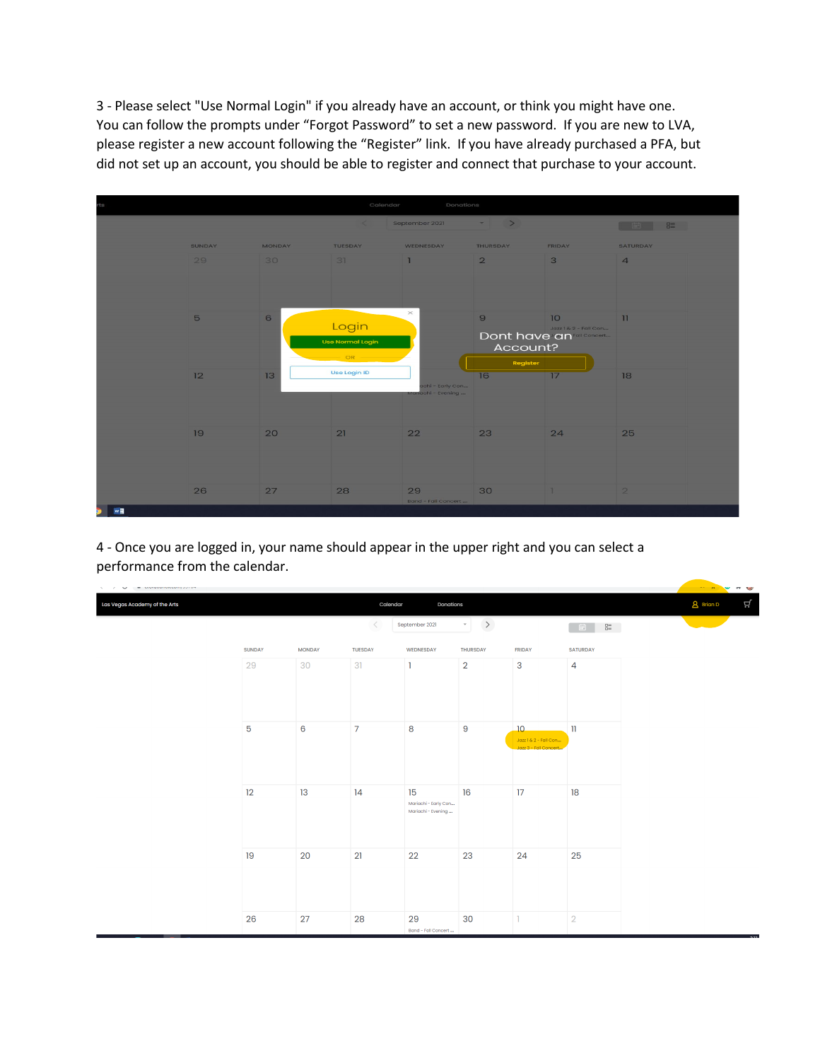3 - Please select "Use Normal Login" if you already have an account, or think you might have one. You can follow the prompts under "Forgot Password" to set a new password. If you are new to LVA, please register a new account following the "Register" link. If you have already purchased a PFA, but did not set up an account, you should be able to register and connect that purchase to your account.



4 - Once you are logged in, your name should appear in the upper right and you can select a performance from the calendar.

| $\Delta = 1$ and $\Delta = 1$ are advanced in the contract of $\Delta = 1$ |               |               |                |                                                  |                         |                                                     |                 | <b>THE REAL PROPERTY</b> |  |
|----------------------------------------------------------------------------|---------------|---------------|----------------|--------------------------------------------------|-------------------------|-----------------------------------------------------|-----------------|--------------------------|--|
| Las Vegas Academy of the Arts                                              |               |               | Calendar       | Donations                                        | <b>A</b> Brian D        | Ц                                                   |                 |                          |  |
|                                                                            |               |               | $\,<\,$        | September 2021                                   | $\rightarrow$<br>$\tau$ |                                                     | $0 = 0$<br>中    |                          |  |
|                                                                            | <b>SUNDAY</b> | <b>MONDAY</b> | <b>TUESDAY</b> | WEDNESDAY                                        | <b>THURSDAY</b>         | <b>FRIDAY</b>                                       | <b>SATURDAY</b> |                          |  |
|                                                                            | 29            | 30            | 31             | ı                                                | $\overline{2}$          | 3                                                   | $\overline{4}$  |                          |  |
|                                                                            | 5             | 6             | $\overline{7}$ | 8                                                | $\overline{9}$          | 10<br>Jazz 1& 2 - Fall Con<br>Jazz 3 - Fall Concert | $\mathbf{u}$    |                          |  |
|                                                                            | 12            | 13            | 14             | 15<br>Mariachi - Early Con<br>Mariachi - Evening | 16                      | 17                                                  | 18              |                          |  |
|                                                                            | 19            | 20            | 21             | 22                                               | 23                      | 24                                                  | 25              |                          |  |
|                                                                            | 26            | 27            | 28             | 29<br>Band - Fall Concert                        | 30                      | $\mathbf{I}$                                        | $\overline{2}$  |                          |  |